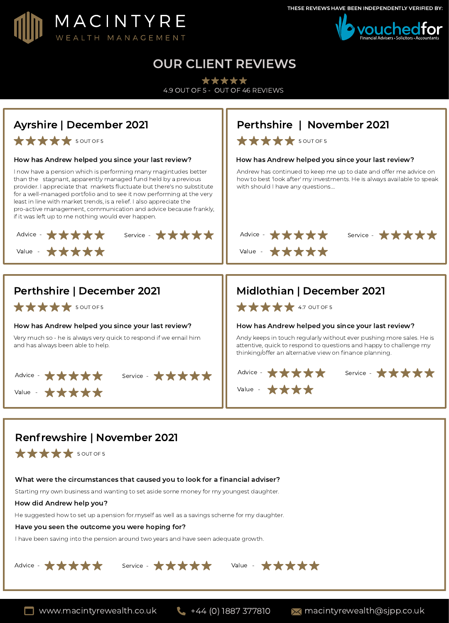\*\*\*\*\* 4.9 OUT OF 5 - OUT OF 46 REVIEWS





### Perthshire | December 2021

 $\star \star \star \star$  5 OUT OF 5

Very much so - he is always very quick to respond if we email him and has always been able to help.

#### How has Andrew helped you since your last review?

### Midlothian | December 2021

 $\star\star\star\star$  4.7 OUT OF 5

Andy keeps in touch regularly without ever pushing more sales. He is attentive, quick to respond to questions and happy to challenge my thinking/offer an alternative view on finance planning.





#### How has Andrew helped you since your last review?

Andrew has continued to keep me up to date and offer me advice on how to best 'look after' my investments. He is always available to speak with should I have any questions....

Value - **★ ★ ★ ★ ★** 

### Ayrshire | December 2021

### $\star \star \star \star$  50UT OF 5

I now have a pension which is performing many magintudes better than the stagnant, apparently managed fund held by a previous provider. I appreciate that markets fluctuate but there's no substitute for a well-managed portfolio and to see it now performing at the very least in line with market trends, is a relief. I also appreciate the pro-active management, communication and advice because frankly, if it was left up to me nothing would ever happen.

#### How has Andrew helped you since your last review?





#### How has Andrew helped you since your last review?

# Perthshire | November 2021

 $\star \star \star \star$  50UTOF5



### Renfrewshire | November 2021

 $\star \star \star \star$  50UT OF 5

Starting my own business and wanting to set aside some money for my youngest daughter.

#### What were the circumstances that caused you to look for a financial adviser?









www.macintyrewealth.co.uk  $\leftarrow$  +44 (0) 1887 377810 Macintyrewealth@sjpp.co.uk

He suggested how to set up a.pension for.myself as well as a savings scheme for my daughter.

#### How did Andrew help you?

I have been saving into the pension around two years and have seen adequate growth.

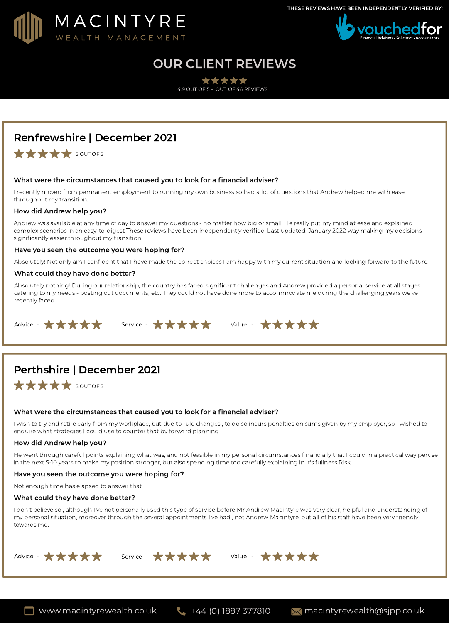**7.7.7** 4.9 OUT OF 5 - OUT OF 46 REVIEWS





### Renfrewshire | December 2021

 $\star \star \star \star$  50UT OF 5

I recently moved from permanent employment to running my own business so had a lot of questions that Andrew helped me with ease throughout my transition.

#### What were the circumstances that caused you to look for a financial adviser?





Andrew was available at any time of day to answer my questions - no matter how big or small! He really put my mind at ease and explained complex scenarios in an easy-to-digest These reviews have been independently verified. Last updated: January 2022 way making my decisions significantly easier.throughout my transition.

#### How did Andrew help you?

Absolutely! Not only am I confident that I have made the correct choices I am happy with my current situation and looking forward to the future.

#### Have you seen the outcome you were hoping for?

Absolutely nothing! During our relationship, the country has faced significant challenges and Andrew provided a personal service at all stages catering to my needs - posting out documents, etc. They could not have done more to accommodate me during the challenging years we've recently faced.

#### What could they have done better?

#### Perthshire | December 2021



I wish to try and retire early from my workplace, but due to rule changes , to do so incurs penalties on sums given by my employer, so I wished to enquire what strategies I could use to counter that by forward planning

#### What were the circumstances that caused you to look for a financial adviser?











www.macintyrewealth.co.uk  $\leftarrow$  +44 (0) 1887 377810 Macintyrewealth@sjpp.co.uk

He went through careful points explaining what was, and not feasible in my personal circumstances financially that I could in a practical way peruse in the next 5-10 years to make my position stronger, but also spending time too carefully explaining in it's fullness Risk.

#### How did Andrew help you?

Not enough time has elapsed to answer that

#### Have you seen the outcome you were hoping for?

I don't believe so , although I've not personally used this type of service before Mr Andrew Macintyre was very clear, helpful and understanding of my personal situation, moreover through the several appointments I've had , not Andrew Macintyre, but all of his staff have been very friendly towards me.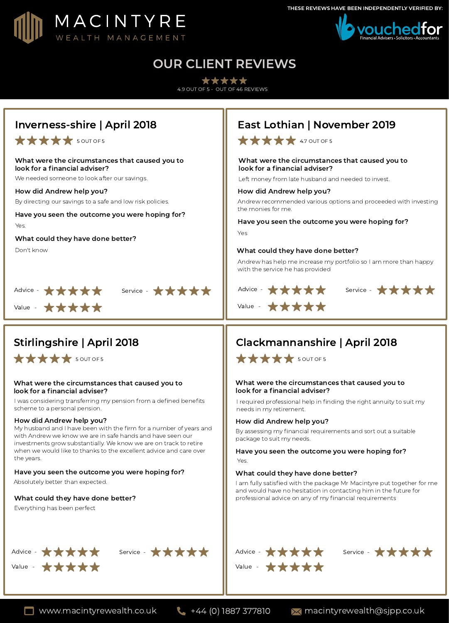5.7 4.9 OUT OF 5 - OUT OF 46 REVIEWS





### Inverness-shire | April 2018

 $\star \star \star \star$  50UT OF 5

We needed someone to look after our savings.

#### What were the circumstances that caused you to look for a financial adviser?

Advice - Service - Value - ★ ★ ★ ★ ★





# East Lothian | November 2019

 $\star\star\star\star$  4.7 OUT OF 5

Left money from late husband and needed to invest.

#### What were the circumstances that caused you to look for a financial adviser?

Andrew recommended various options and proceeded with investing the monies for me.

#### How did Andrew help you?

Yes

#### Don't know What could they have done better?

#### Have you seen the outcome you were hoping for?

By directing our savings to a safe and low risk policies.

#### How did Andrew help you?

Yes.

#### Have you seen the outcome you were hoping for?

Andrew has help me increase my portfolio so I am more than happy with the service he has provided

#### What could they have done better?

# Stirlingshire | April 2018

 $\star \star \star \star$  5 OUT OF 5

I was considering transferring my pension from a defined benefits scheme to a personal pension.

#### What were the circumstances that caused you to look for a financial adviser?

My husband and I have been with the firm for a number of years and with Andrew we know we are in safe hands and have seen our investments grow substantially. We know we are on track to retire when we would like to thanks to the excellent advice and care over the years.

#### How did Andrew help you?

Absolutely better than expected.

#### Have you seen the outcome you were hoping for?

Everything has been perfect

#### What could they have done better?

# Clackmannanshire | April 2018

 $\star \star \star \star$  5 OUT OF 5

I required professional help in finding the right annuity to suit my needs in my retirement.

#### What were the circumstances that caused you to look for a financial adviser?



Value - ★ ★ ★ ★ ★

Advice - \* \* \* \* \* \* \* Eervice - \* \* \* \* \* \*





www.macintyrewealth.co.uk  $\leftarrow$  +44 (0) 1887 377810 Macintyrewealth@sjpp.co.uk

Value -

By assessing my financial requirements and sort out a suitable package to suit my needs.

#### How did Andrew help you?

Yes.

### Have you seen the outcome you were hoping for?

I am fully satisfied with the package Mr Macintyre put together for me and would have no hesitation in contacting him in the future for professional advice on any of my financial requirements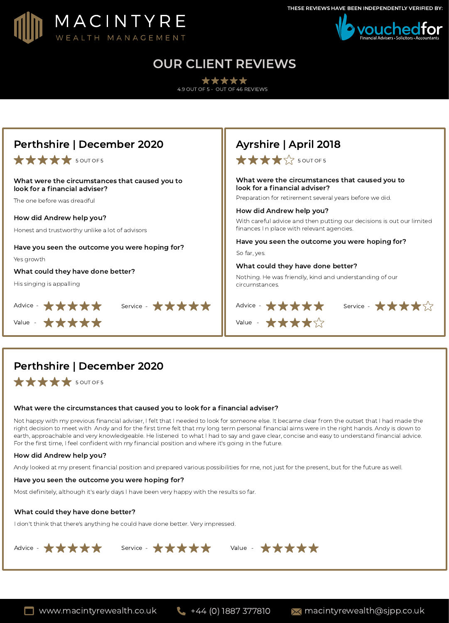4.9 OUT OF 5 - OUT OF 46 REVIEWS





### Perthshire | December 2020



Not happy with my previous financial adviser, I felt that I needed to look for someone else. It became clear from the outset that I had made the right decision to meet with Andy and for the first time felt that my long term personal financial aims were in the right hands. Andy is down to earth, approachable and very knowledgeable. He listened to what I had to say and gave clear, concise and easy to understand financial advice. For the first time, I feel confident with my financial position and where it's going in the future.

#### What were the circumstances that caused you to look for a financial adviser?









www.macintyrewealth.co.uk  $\leftarrow$  +44 (0) 1887 377810 Macintyrewealth@sjpp.co.uk

Andy looked at my present financial position and prepared various possibilities for me, not just for the present, but for the future as well.

#### How did Andrew help you?

Most definitely, although it's early days I have been very happy with the results so far.

#### Have you seen the outcome you were hoping for?

I don't think that there's anything he could have done better. Very impressed.

#### What could they have done better?

### Perthshire | December 2020

 $\star \star \star \star$  50UT OF 5

The one before was dreadful

What were the circumstances that caused you to look for a financial adviser?

Honest and trustworthy unlike a lot of advisors

How did Andrew help you?

Yes growth

Have you seen the outcome you were hoping for?





His singing is appalling

What could they have done better?

### Ayrshire | April 2018

 $\star \star \star \sim$  5 OUT OF 5

Preparation for retirement several years before we did.

#### What were the circumstances that caused you to look for a financial adviser?



With careful advice and then putting our decisions is out our limited finances I n place with relevant agencies.

#### How did Andrew help you?

So far, yes.

#### Have you seen the outcome you were hoping for?

Nothing. He was friendly, kind and understanding of our circumstances.

Value -  $\star \star \star \star$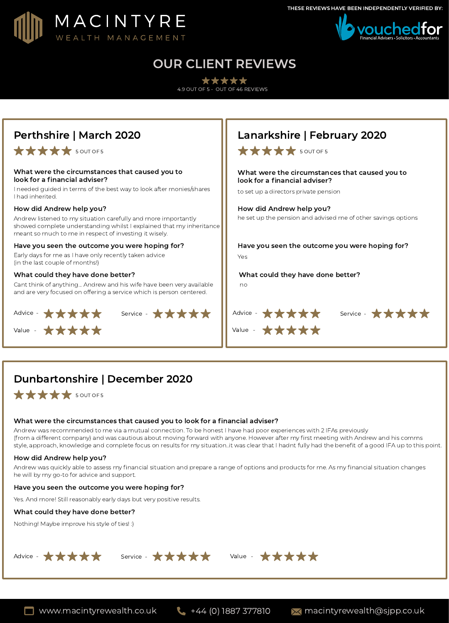**5.3.3** 4.9 OUT OF 5 - OUT OF 46 REVIEWS





### Dunbartonshire | December 2020

### $\star \star \star \star$  50UT OF 5

Andrew was recommended to me via a mutual connection. To be honest I have had poor experiences with 2 IFAs previously (from a different company) and was cautious about moving forward with anyone. However after my first meeting with Andrew and his comms style, approach, knowledge and complete focus on results for my situation..it was clear that I hadnt fully had the benefit of a good IFA up to this point.

#### What were the circumstances that caused you to look for a financial adviser?











www.macintyrewealth.co.uk  $\leftarrow$  +44 (0) 1887 377810 macintyrewealth@sjpp.co.uk

Andrew was quickly able to assess my financial situation and prepare a range of options and products for me. As my financial situation changes he will by my go-to for advice and support.

#### How did Andrew help you?

Yes. And more! Still reasonably early days but very positive results.

#### Have you seen the outcome you were hoping for?

Nothing! Maybe improve his style of ties! :)

#### What could they have done better?

### Perthshire | March 2020

 $\star \star \star \star$  50UT OF 5

I needed guided in terms of the best way to look after monies/shares I had inherited.

#### What were the circumstances that caused you to look for a financial adviser?

Andrew listened to my situation carefully and more importantly showed complete understanding whilst I explained that my inheritance meant so much to me in respect of investing it wisely.

#### How did Andrew help you?

Early days for me as I have only recently taken advice (in the last couple of months!)

#### Have you seen the outcome you were hoping for?



### Lanarkshire | February 2020

 $\star \star \star \star$  50UT OF 5

to set up a directors private pension

#### What were the circumstances that caused you to look for a financial adviser?

he set up the pension and advised me of other savings options How did Andrew help you?

Yes Have you seen the outcome you were hoping for?



Cant think of anything... Andrew and his wife have been very available and are very focused on offering a service which is person centered.

#### What could they have done better?

no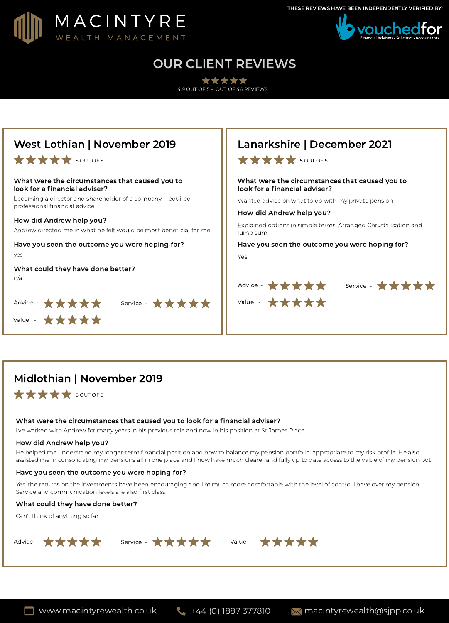I've worked with Andrew for many years in his previous role and now in his position at St James Place.

# OUR CLIENT REVIEWS

4.9 OUT OF 5 - OUT OF 46 REVIEWS





### Midlothian | November 2019

### $\star \star \star \star$  5 OUT OF 5

#### What were the circumstances that caused you to look for a financial adviser?







www.macintyrewealth.co.uk  $\leftarrow$  +44 (0) 1887 377810  $\rightarrow$  macintyrewealth@sjpp.co.uk

Yes, the returns on the investments have been encouraging and I'm much more comfortable with the level of control I have over my pension. Service and communication levels are also first class.

He helped me understand my longer-term financial position and how to balance my pension portfolio, appropriate to my risk profile. He also assisted me in consolidating my pensions all in one place and I now have much clearer and fully up to date access to the value of my pension pot.

#### How did Andrew help you?

#### Have you seen the outcome you were hoping for?

Can't think of anything so far



#### What could they have done better?

### West Lothian | November 2019

 $\star \star \star \star$  50UT OF 5

becoming a director and shareholder of a company I required professional financial advice

#### What were the circumstances that caused you to look for a financial adviser?

Andrew directed me in what he felt would be most beneficial for me

### How did Andrew help you?

#### yes Have you seen the outcome you were hoping for?



### Lanarkshire | December 2021

 $\star \star \star \star$  50UT OF 5

Wanted advice on what to do with my private pension

#### What were the circumstances that caused you to look for a financial adviser?

Explained options in simple terms. Arranged Chrystalisation and lump sum.

#### How did Andrew help you?

Yes

Advice -  $\bigstar \bigstar \bigstar \bigstar \bigstar$  Service -  $\bigstar \bigstar \bigstar \bigstar$ Value - ★ ★ ★ ★ ★



#### Have you seen the outcome you were hoping for?

n/a

Value -  $\frac{1}{2}$   $\frac{1}{2}$   $\frac{1}{2}$   $\frac{1}{2}$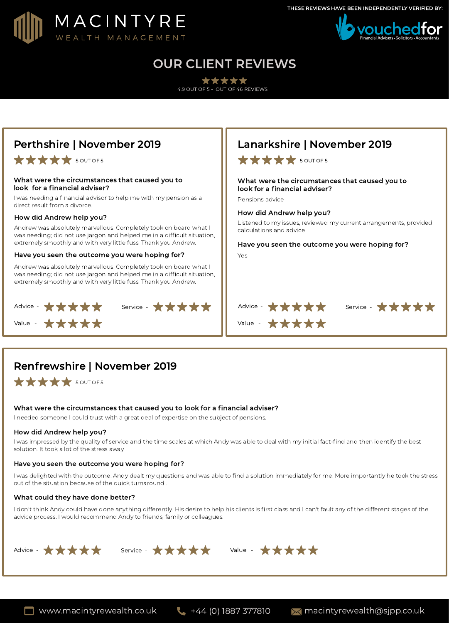**7. 3. 3** 4.9 OUT OF 5 - OUT OF 46 REVIEWS





### Renfrewshire | November 2019



I needed someone I could trust with a great deal of expertise on the subject of pensions.

#### What were the circumstances that caused you to look for a financial adviser?









www.macintyrewealth.co.uk  $\leftarrow$  +44 (0) 1887 377810 M macintyrewealth@sjpp.co.uk

I was impressed by the quality of service and the time scales at which Andy was able to deal with my initial fact-find and then identify the best solution. It took a lot of the stress away.

#### How did Andrew help you?

I was delighted with the outcome. Andy dealt my questions and was able to find a solution immediately for me. More importantly he took the stress out of the situation because of the quick turnaround .

#### Have you seen the outcome you were hoping for?

I don't think Andy could have done anything differently. His desire to help his clients is first class and I can't fault any of the different stages of the advice process. I would recommend Andy to friends, family or colleagues.



#### What could they have done better?

### Perthshire | November 2019

 $\star \star \star \star$  sources

I was needing a financial advisor to help me with my pension as a direct result from a divorce.

#### What were the circumstances that caused you to look for a financial adviser?





### Lanarkshire | November 2019

 $\star \star \star \star$  50UT OF 5

Pensions advice

#### What were the circumstances that caused you to look for a financial adviser?

Listened to my issues, reviewed my current arrangements, provided calculations and advice

#### How did Andrew help you?

Yes



Value - ★ ★ ★ ★ ★

#### Have you seen the outcome you were hoping for?



Andrew was absolutely marvellous. Completely took on board what I was needing; did not use jargon and helped me in a difficult situation, extremely smoothly and with very little fuss. Thank you Andrew.

#### How did Andrew help you?

Andrew was absolutely marvellous. Completely took on board what I was needing; did not use jargon and helped me in a difficult situation, extremely smoothly and with very little fuss. Thank you Andrew.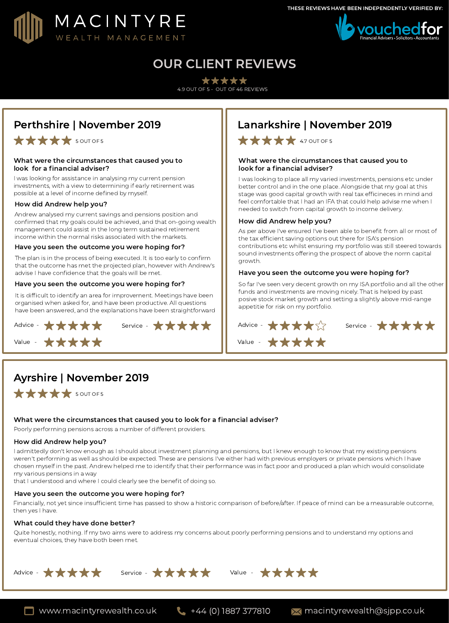$\overline{1}$ 4.9 OUT OF 5 - OUT OF 46 REVIEWS

### Ayrshire | November 2019  $\star \star \star \star$  50UT OF 5





Poorly performing pensions across a number of different providers.

#### What were the circumstances that caused you to look for a financial adviser?









I admittedly don't know enough as I should about investment planning and pensions, but I knew enough to know that my existing pensions weren't performing as well as should be expected. These are pensions I've either had with previous employers or private pensions which I have chosen myself in the past. Andrew helped me to identify that their performance was in fact poor and produced a plan which would consolidate my various pensions in a way

that I understood and where I could clearly see the benefit of doing so.

#### How did Andrew help you?

Financially, not yet since insufficient time has passed to show a historic comparison of before/after. If peace of mind can be a measurable outcome, then yes I have.

#### Have you seen the outcome you were hoping for?

Quite honestly, nothing. If my two aims were to address my concerns about poorly performing pensions and to understand my options and eventual choices, they have both been met.



#### What could they have done better?

### Perthshire | November 2019

 $\star \star \star \star$  50UT OF 5

I was looking for assistance in analysing my current pension investments, with a view to determining if early retirement was possible at a level of income defined by myself.

#### What were the circumstances that caused you to look for a financial adviser?





 $\star\star\star\star$  4.7 OUT OF 5

I was looking to place all my varied investments, pensions etc under better control and in the one place. Alongside that my goal at this stage was good capital growth with real tax efficineces in mind and feel comfortable that I had an IFA that could help advise me when I needed to switch from capital growth to income delivery.

#### What were the circumstances that caused you to look for a financial adviser?

As per above I've ensured I've been able to benefit from all or most of the tax efficient saving options out there for ISA's pension contributions etc whilst ensuring my portfolio was still steered towards sound investments offering the prospect of above the norm capital growth.

#### How did Andrew help you?

So far I've seen very decent growth on my ISA portfolio and all the other funds and investments are moving nicely. That is helped by past posive stock market growth and setting a slightly above mid-range appetitie for risk on my portfolio.

#### Have you seen the outcome you were hoping for?





Andrew analysed my current savings and pensions position and confirmed that my goals could be achieved, and that on-going wealth management could assist in the long term sustained retirement income within the normal risks associated with the markets.

#### How did Andrew help you?

The plan is in the process of being executed. It is too early to confirm that the outcome has met the projected plan, however with Andrew's advise I have confidence that the goals will be met.

#### Have you seen the outcome you were hoping for?

It is difficult to identify an area for improvement. Meetings have been organised when asked for, and have been productive. All questions have been answered, and the explanations have been straightforward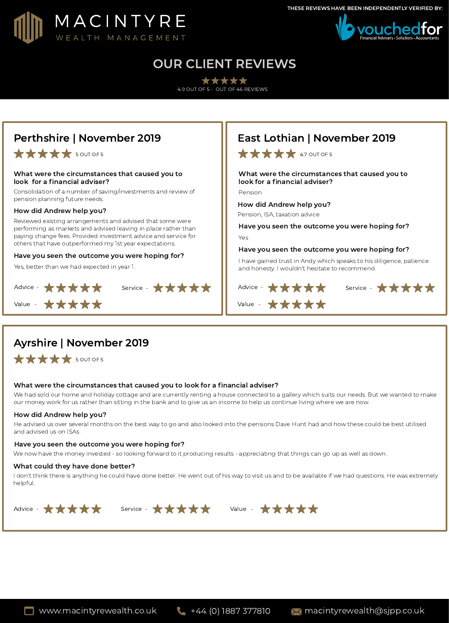$\overline{1}$ 4.9 OUT OF 5 - OUT OF 46 REVIEWS







# Ayrshire | November 2019

 $\star \star \star \star$  sources

We had sold our home and holiday cottage and are currently renting a house connected to a gallery which suits our needs. But we wanted to make our money work for us rather than sitting in the bank and to give us an income to help us continue living where we are now.

#### What were the circumstances that caused you to look for a financial adviser?









He advised us over several months on the best way to go and also looked into the pensions Dave Hunt had and how these could be best utilised and advised us on ISAs.

Advice - Service - Value - ★★★★★

#### How did Andrew help you?

Advice - Service - Value - \*\*\*\*\*



We now have the money invested - so looking forward to it producing results - appreciating that things can go up as well as down.

#### Have you seen the outcome you were hoping for?

I don't think there is anything he could have done better. He went out of his way to visit us and to be available if we had questions. He was extremely helpful.

#### What could they have done better?

### Perthshire | November 2019

 $\star \star \star \star$  5 OUT OF 5

Consolidation of a number of saving/investments and review of pension planning future needs.

#### What were the circumstances that caused you to look for a financial adviser?

### East Lothian | November 2019



Pension

#### What were the circumstances that caused you to look for a financial adviser?

Pension, ISA, taxation advice How did Andrew help you?

Yes

#### Have you seen the outcome you were hoping for?

Reviewed existing arrangements and advised that some were performing as markets and advised leaving in place rather than paying change fees. Provided investment advice and service for others that have outperformed my 1st year expectations.

#### How did Andrew help you?

Yes, better than we had expected in year 1.

#### Have you seen the outcome you were hoping for?

I have gained trust in Andy which speaks to his diligence, patience and honesty. I wouldn't hesitate to recommend.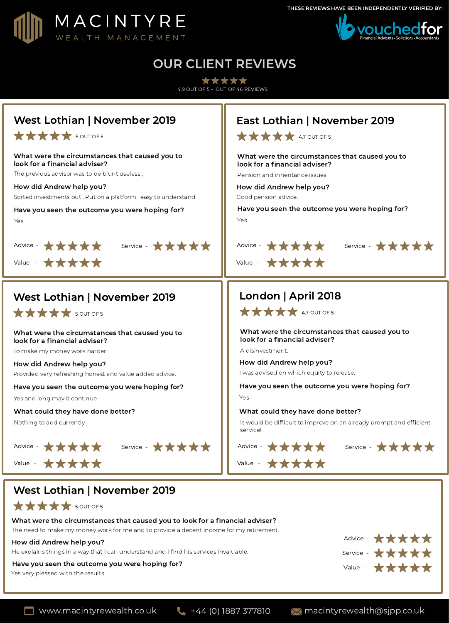**KOKOKOK** 4.9 OUT OF 5 - OUT OF 46 REVIEWS







### West Lothian | November 2019

 $\star \star \star \star$  sources

The previous advisor was to be blunt useless ,

#### What were the circumstances that caused you to look for a financial adviser?

Advice - Service - Value - ★ ★ ★ ★ ★

### East Lothian | November 2019  $\star\star\star\star$  4.7 OUT OF 5



Sorted investments out . Put on a platform , easy to understand How did Andrew help you?

Yes

Value - **★ ★ ★ ★ ★** 

#### Have you seen the outcome you were hoping for?

### West Lothian | November 2019

 $\star \star \star \star$  sources

To make my money work harder

#### What were the circumstances that caused you to look for a financial adviser?

Pension and inheritance issues.

What were the circumstances that caused you to look for a financial adviser?

### London | April 2018  $\star\star\star\star$  4.7 OUT OF 5

Good pension advice.

How did Andrew help you?

Yes

Have you seen the outcome you were hoping for?





Provided very refreshing honest and value added advice.

#### How did Andrew help you?

Yes and long may it continue

#### Have you seen the outcome you were hoping for?

Nothing to add currently

#### What could they have done better?

# West Lothian | November 2019

 $\star \star \star \star$  sources

The need to make my money work for me and to provide a decent income for my retirement.

#### What were the circumstances that caused you to look for a financial adviser?

He explains things in a way that I can understand and I find his services invaluable.

#### How did Andrew help you?

### Have you seen the outcome you were hoping for?

Yes very pleased with the results.

A disinvestment.

#### What were the circumstances that caused you to look for a financial adviser?

I was advised on which equity to release.

#### How did Andrew help you?

Yes

### Have you seen the outcome you were hoping for?



Advice - ★ ★ ★ ★ ★ Service - \*\*\*\*\* Value - ★★★★★





Value -

It would be difficult to improve on an already prompt and efficient service!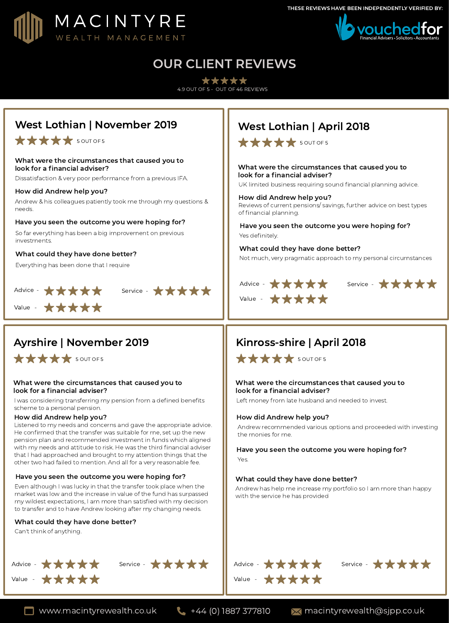4.9 OUT OF 5 - OUT OF 46 REVIEWS





### West Lothian | November 2019

 $\star \star \star \star$  5 OUT OF 5

Dissatisfaction & very poor performance from a previous IFA.

#### What were the circumstances that caused you to look for a financial adviser?

Andrew & his colleagues patiently took me through my questions & needs.

#### How did Andrew help you?

So far everything has been a big improvement on previous investments.

#### Have you seen the outcome you were hoping for?

Everything has been done that I require

Advice - \* \* \* \* \* \* \* Eervice - \* \* \* \* \* \* Value - ★★★★★

#### What could they have done better?

### Ayrshire | November 2019

 $\star \star \star \star$  5 OUT OF 5

I was considering transferring my pension from a defined benefits scheme to a personal pension.

#### What were the circumstances that caused you to look for a financial adviser?

Kinross-shire | April 2018  $\star$   $\star$   $\star$   $\star$  5 OUT OF 5

### West Lothian | April 2018  $\star \star \star \star$  sources

Listened to my needs and concerns and gave the appropriate advice. He confirmed that the transfer was suitable for me, set up the new pension plan and recommended investment in funds which aligned with my needs and attitude to risk. He was the third financial adviser that I had approached and brought to my attention things that the other two had failed to mention. And all for a very reasonable fee.

#### How did Andrew help you?

Even although I was lucky in that the transfer took place when the market was low and the increase in value of the fund has surpassed my wildest expectations, I am more than satisfied with my decision to transfer and to have Andrew looking after my changing needs.

#### Have you seen the outcome you were hoping for?

Can't think of anything.

Advice -  $\star\star\star\star\star$ Value - ★ ★ ★ ★ ★

$$
\text{Service - } \bigstar \bigstar \bigstar \bigstar
$$

#### What could they have done better?

Left money from late husband and needed to invest.

#### What were the circumstances that caused you to look for a financial adviser?

Advice - Service - Value -



Andrew recommended various options and proceeded with investing the monies for me.

#### How did Andrew help you?

Yes.

#### Have you seen the outcome you were hoping for?

Andrew has help me increase my portfolio so I am more than happy with the service he has provided

#### What could they have done better?

UK limited business requiring sound financial planning advice.

#### What were the circumstances that caused you to look for a financial adviser?



Reviews of current pensions/ savings, further advice on best types of financial planning. How did Andrew help you?

Yes definitely. Have you seen the outcome you were hoping for?

Not much, very pragmatic approach to my personal circumstances

Value -  $\bigstar \bigstar \bigstar \bigstar$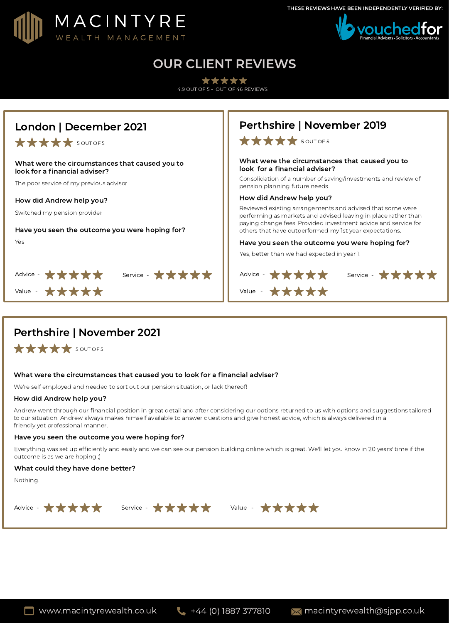**10.0.** 4.9 OUT OF 5 - OUT OF 46 REVIEWS







### Perthshire | November 2021



We're self employed and needed to sort out our pension situation, or lack thereof!

#### What were the circumstances that caused you to look for a financial adviser?









Andrew went through our financial position in great detail and after considering our options returned to us with options and suggestions tailored to our situation. Andrew always makes himself available to answer questions and give honest advice, which is always delivered in a friendly yet professional manner.

#### How did Andrew help you?

Advice - Service - Value - ★ ★ ★ ★ ★

Everything was set up efficiently and easily and we can see our pension building online which is great. We'll let you know in 20 years' time if the outcome is as we are hoping ;)

#### Have you seen the outcome you were hoping for?

Nothing.

#### What could they have done better?

### London | December 2021

 $\star \star \star \star$  sources

The poor service of my previous advisor

#### What were the circumstances that caused you to look for a financial adviser?

Switched my pension provider

#### How did Andrew help you?

Yes

Value - **★ ★ ★ ★ ★** 

#### Have you seen the outcome you were hoping for?



### Perthshire | November 2019

 $\star \star \star \star$  50UT OF 5

Consolidation of a number of saving/investments and review of pension planning future needs.

#### What were the circumstances that caused you to look for a financial adviser?

Reviewed existing arrangements and advised that some were performing as markets and advised leaving in place rather than paying change fees. Provided investment advice and service for others that have outperformed my 1st year expectations.

#### How did Andrew help you?

Yes, better than we had expected in year 1.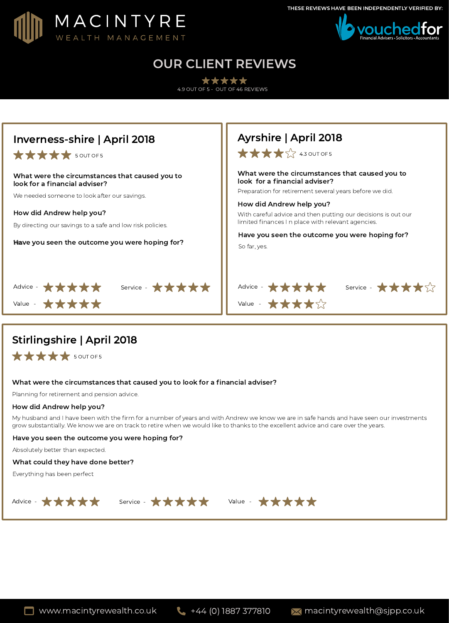4.9 OUT OF 5 - OUT OF 46 REVIEWS











### Stirlingshire | April 2018

 $\star \star \star \star$  50UT OF 5

Planning for retirement and pension advice.

#### What were the circumstances that caused you to look for a financial adviser?





My husband and I have been with the firm for a number of years and with Andrew we know we are in safe hands and have seen our investments grow substantially. We know we are on track to retire when we would like to thanks to the excellent advice and care over the years.

#### How did Andrew help you?

Absolutely better than expected.

#### Have you seen the outcome you were hoping for?

Everything has been perfect



#### What could they have done better?

### Inverness-shire | April 2018

 $\star \star \star \star$  50UT OF 5

What were the circumstances that caused you to look for a financial adviser?

We needed someone to look after our savings.

By directing our savings to a safe and low risk policies.

Have you seen the outcome you were hoping for?

Value - ★ ★ ★ ★ ★

How did Andrew help you?



### Ayrshire | April 2018

 $\star \star \star \times$  4.3 OUT OF 5

Preparation for retirement several years before we did.

#### What were the circumstances that caused you to look for a financial adviser?





With careful advice and then putting our decisions is out our limited finances I n place with relevant agencies.

#### How did Andrew help you?

#### So far, yes. Have you seen the outcome you were hoping for?